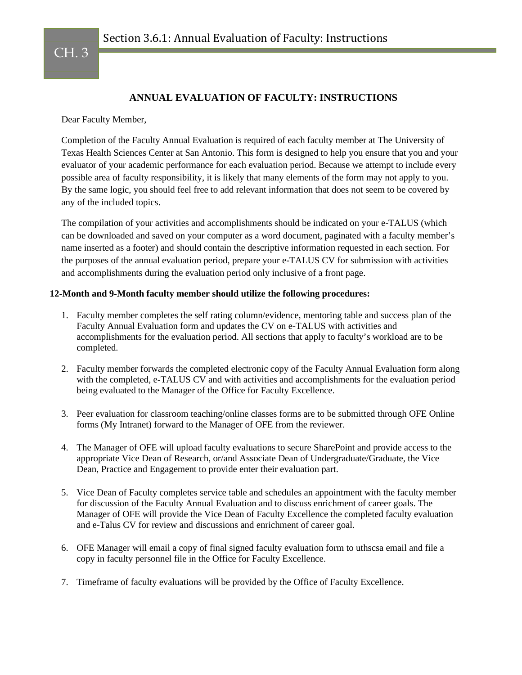## CH. 3

## **ANNUAL EVALUATION OF FACULTY: INSTRUCTIONS**

Dear Faculty Member,

Completion of the Faculty Annual Evaluation is required of each faculty member at The University of Texas Health Sciences Center at San Antonio. This form is designed to help you ensure that you and your evaluator of your academic performance for each evaluation period. Because we attempt to include every possible area of faculty responsibility, it is likely that many elements of the form may not apply to you. By the same logic, you should feel free to add relevant information that does not seem to be covered by any of the included topics.

The compilation of your activities and accomplishments should be indicated on your e-TALUS (which can be downloaded and saved on your computer as a word document, paginated with a faculty member's name inserted as a footer) and should contain the descriptive information requested in each section. For the purposes of the annual evaluation period, prepare your e-TALUS CV for submission with activities and accomplishments during the evaluation period only inclusive of a front page.

## **12-Month and 9-Month faculty member should utilize the following procedures:**

- 1. Faculty member completes the self rating column/evidence, mentoring table and success plan of the Faculty Annual Evaluation form and updates the CV on e-TALUS with activities and accomplishments for the evaluation period. All sections that apply to faculty's workload are to be completed.
- 2. Faculty member forwards the completed electronic copy of the Faculty Annual Evaluation form along with the completed, e-TALUS CV and with activities and accomplishments for the evaluation period being evaluated to the Manager of the Office for Faculty Excellence.
- 3. Peer evaluation for classroom teaching/online classes forms are to be submitted through OFE Online forms (My Intranet) forward to the Manager of OFE from the reviewer.
- 4. The Manager of OFE will upload faculty evaluations to secure SharePoint and provide access to the appropriate Vice Dean of Research, or/and Associate Dean of Undergraduate/Graduate, the Vice Dean, Practice and Engagement to provide enter their evaluation part.
- 5. Vice Dean of Faculty completes service table and schedules an appointment with the faculty member for discussion of the Faculty Annual Evaluation and to discuss enrichment of career goals. The Manager of OFE will provide the Vice Dean of Faculty Excellence the completed faculty evaluation and e-Talus CV for review and discussions and enrichment of career goal.
- 6. OFE Manager will email a copy of final signed faculty evaluation form to uthscsa email and file a copy in faculty personnel file in the Office for Faculty Excellence.
- 7. Timeframe of faculty evaluations will be provided by the Office of Faculty Excellence.